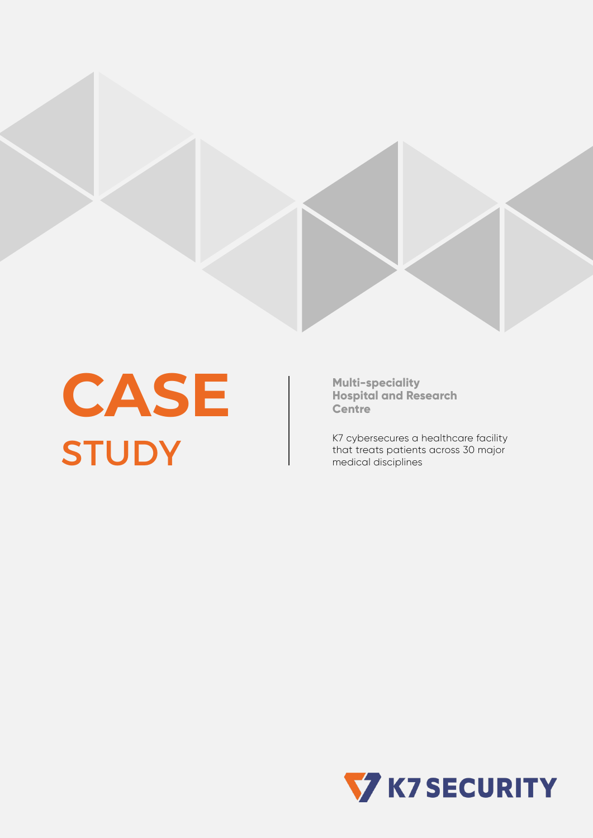

**CASE STUDY** 

**Multi-speciality Hospital and Research Centre**

K7 cybersecures a healthcare facility that treats patients across 30 major medical disciplines

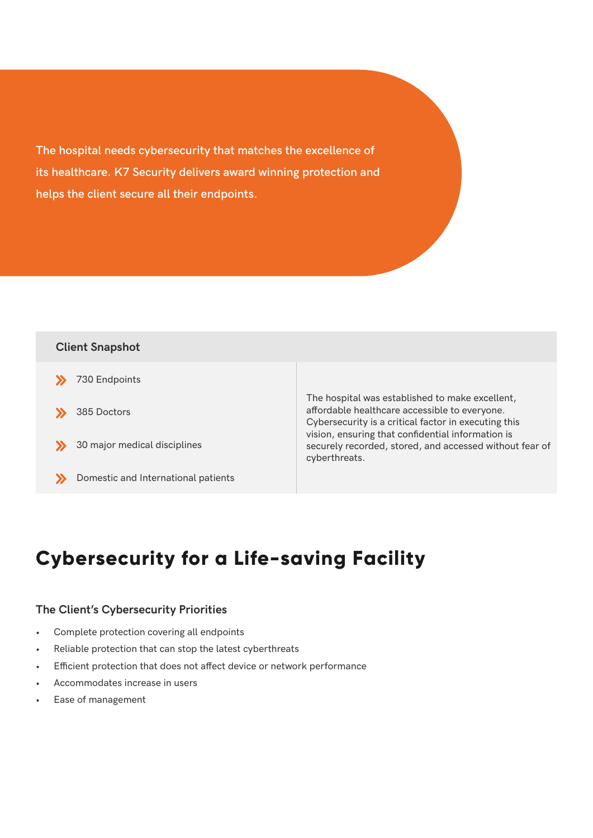**The hospital needs cybersecurity that matches the excellence of its healthcare. K7 Security delivers award winning protection and helps the client secure all their endpoints.**

### **Client Snapshot**

- **X** 730 Endpoints
- <sup>385</sup> Doctors
- >>> 30 major medical disciplines
- >>>>>>>Domestic and International patients

The hospital was established to make excellent, affordable healthcare accessible to everyone. Cybersecurity is a critical factor in executing this vision, ensuring that confidential information is securely recorded, stored, and accessed without fear of cyberthreats.

## **Cybersecurity for a Life-saving Facility**

#### **The Client's Cybersecurity Priorities**

- Complete protection covering all endpoints
- Reliable protection that can stop the latest cyberthreats
- Efficient protection that does not affect device or network performance
- Accommodates increase in users
- Ease of management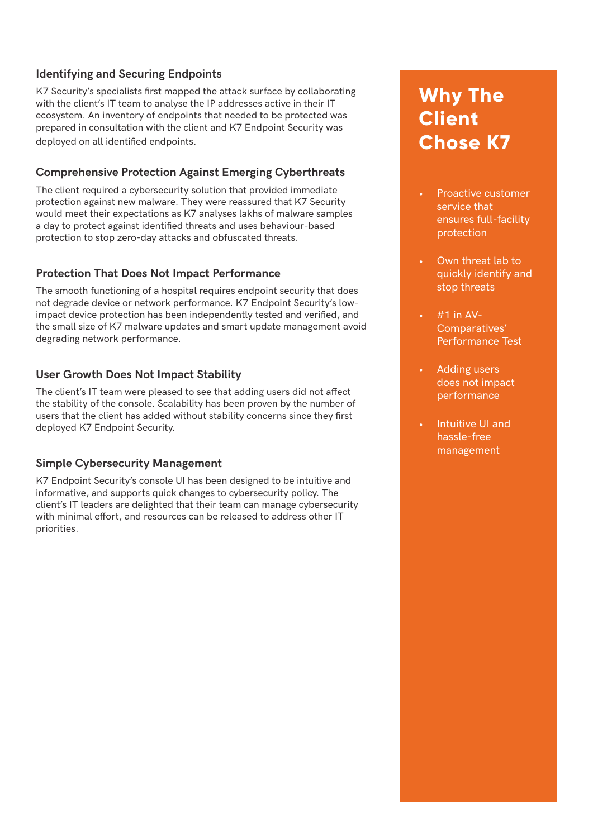### **Identifying and Securing Endpoints**

K7 Security's specialists first mapped the attack surface by collaborating with the client's IT team to analyse the IP addresses active in their IT ecosystem. An inventory of endpoints that needed to be protected was prepared in consultation with the client and K7 Endpoint Security was deployed on all identified endpoints.

#### **Comprehensive Protection Against Emerging Cyberthreats**

The client required a cybersecurity solution that provided immediate protection against new malware. They were reassured that K7 Security would meet their expectations as K7 analyses lakhs of malware samples a day to protect against identified threats and uses behaviour-based protection to stop zero-day attacks and obfuscated threats.

#### **Protection That Does Not Impact Performance**

The smooth functioning of a hospital requires endpoint security that does not degrade device or network performance. K7 Endpoint Security's lowimpact device protection has been independently tested and verified, and the small size of K7 malware updates and smart update management avoid degrading network performance.

#### **User Growth Does Not Impact Stability**

The client's IT team were pleased to see that adding users did not affect the stability of the console. Scalability has been proven by the number of users that the client has added without stability concerns since they first deployed K7 Endpoint Security.

#### **Simple Cybersecurity Management**

K7 Endpoint Security's console UI has been designed to be intuitive and informative, and supports quick changes to cybersecurity policy. The client's IT leaders are delighted that their team can manage cybersecurity with minimal effort, and resources can be released to address other IT priorities.

# **Why The Client Chose K7**

- Proactive customer service that ensures full-facility protection
- Own threat lab to quickly identify and stop threats
- $#1$  in AV-Comparatives' Performance Test
- Adding users does not impact performance
- Intuitive UI and hassle-free management